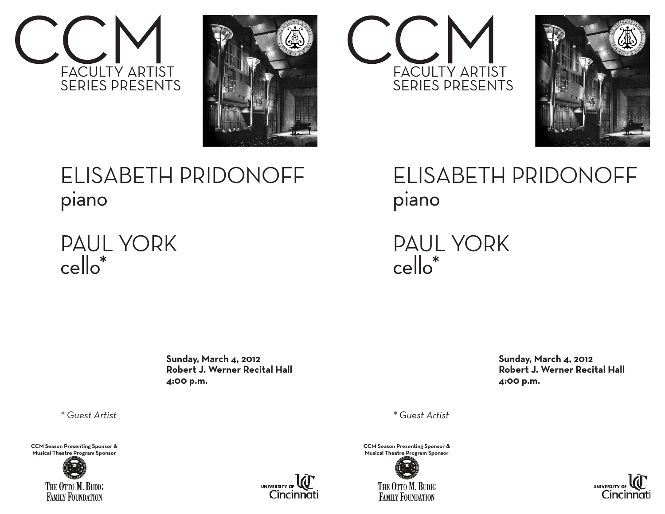







ELISABETH PRIDONOFF piano

PAUL YORK cello\*

> **Sunday, March 4, 2012 Robert J. Werner Recital Hall 4:00 p.m.**

*\* Guest Artist*

**CCM Season Presenting Sponsor &** Musical Theatre Program Sponsor





### ELISABETH PRIDONOFF piano

PAUL YORK cello\*

> **Sunday, March 4, 2012 Robert J. Werner Recital Hall 4:00 p.m.**

*\* Guest Artist*

**CCM Season Presenting Sponsor &** Musical Theatre Program Sponsor